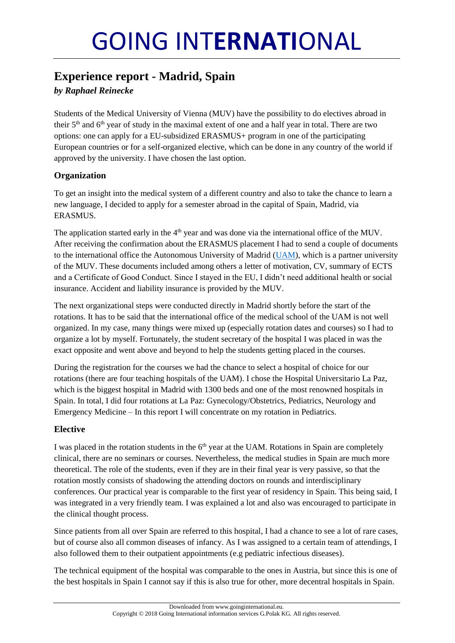# **Experience report - Madrid, Spain**

*by Raphael Reinecke*

Students of the Medical University of Vienna (MUV) have the possibility to do electives abroad in their 5<sup>th</sup> and 6<sup>th</sup> year of study in the maximal extent of one and a half year in total. There are two options: one can apply for a EU-subsidized ERASMUS+ program in one of the participating European countries or for a self-organized elective, which can be done in any country of the world if approved by the university. I have chosen the last option.

# **Organization**

To get an insight into the medical system of a different country and also to take the chance to learn a new language, I decided to apply for a semester abroad in the capital of Spain, Madrid, via ERASMUS.

The application started early in the 4<sup>th</sup> year and was done via the international office of the MUV. After receiving the confirmation about the ERASMUS placement I had to send a couple of documents to the international office the Autonomous University of Madrid [\(UAM\)](https://www.uam.es/Medicina/ORI/1242674556266.htm?language=en), which is a partner university of the MUV. These documents included among others a letter of motivation, CV, summary of ECTS and a Certificate of Good Conduct. Since I stayed in the EU, I didn't need additional health or social insurance. Accident and liability insurance is provided by the MUV.

The next organizational steps were conducted directly in Madrid shortly before the start of the rotations. It has to be said that the international office of the medical school of the UAM is not well organized. In my case, many things were mixed up (especially rotation dates and courses) so I had to organize a lot by myself. Fortunately, the student secretary of the hospital I was placed in was the exact opposite and went above and beyond to help the students getting placed in the courses.

During the registration for the courses we had the chance to select a hospital of choice for our rotations (there are four teaching hospitals of the UAM). I chose the Hospital Universitario La Paz, which is the biggest hospital in Madrid with 1300 beds and one of the most renowned hospitals in Spain. In total, I did four rotations at La Paz: Gynecology/Obstetrics, Pediatrics, Neurology and Emergency Medicine – In this report I will concentrate on my rotation in Pediatrics.

## **Elective**

I was placed in the rotation students in the 6<sup>th</sup> year at the UAM. Rotations in Spain are completely clinical, there are no seminars or courses. Nevertheless, the medical studies in Spain are much more theoretical. The role of the students, even if they are in their final year is very passive, so that the rotation mostly consists of shadowing the attending doctors on rounds and interdisciplinary conferences. Our practical year is comparable to the first year of residency in Spain. This being said, I was integrated in a very friendly team. I was explained a lot and also was encouraged to participate in the clinical thought process.

Since patients from all over Spain are referred to this hospital, I had a chance to see a lot of rare cases, but of course also all common diseases of infancy. As I was assigned to a certain team of attendings, I also followed them to their outpatient appointments (e.g pediatric infectious diseases).

The technical equipment of the hospital was comparable to the ones in Austria, but since this is one of the best hospitals in Spain I cannot say if this is also true for other, more decentral hospitals in Spain.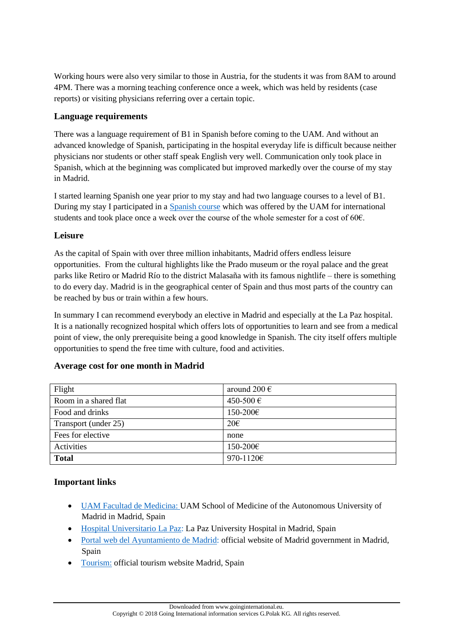Working hours were also very similar to those in Austria, for the students it was from 8AM to around 4PM. There was a morning teaching conference once a week, which was held by residents (case reports) or visiting physicians referring over a certain topic.

## **Language requirements**

There was a language requirement of B1 in Spanish before coming to the UAM. And without an advanced knowledge of Spanish, participating in the hospital everyday life is difficult because neither physicians nor students or other staff speak English very well. Communication only took place in Spanish, which at the beginning was complicated but improved markedly over the course of my stay in Madrid.

I started learning Spanish one year prior to my stay and had two language courses to a level of B1. During my stay I participated in a [Spanish course](https://www.uam.es/ss/Satellite/es/1242654677923/subHomeServicio/Servicio_de_Idiomas.htm) which was offered by the UAM for international students and took place once a week over the course of the whole semester for a cost of 60€.

## **Leisure**

As the capital of Spain with over three million inhabitants, Madrid offers endless leisure opportunities. From the cultural highlights like the Prado museum or the royal palace and the great parks like Retiro or Madrid Río to the district Malasaña with its famous nightlife – there is something to do every day. Madrid is in the geographical center of Spain and thus most parts of the country can be reached by bus or train within a few hours.

In summary I can recommend everybody an elective in Madrid and especially at the La Paz hospital. It is a nationally recognized hospital which offers lots of opportunities to learn and see from a medical point of view, the only prerequisite being a good knowledge in Spanish. The city itself offers multiple opportunities to spend the free time with culture, food and activities.

| Flight                | around 200 $\epsilon$ |
|-----------------------|-----------------------|
| Room in a shared flat | 450-500 €             |
| Food and drinks       | 150-200€              |
| Transport (under 25)  | $20 \epsilon$         |
| Fees for elective     | none                  |
| Activities            | 150-200€              |
| <b>Total</b>          | 970-1120€             |

#### **Average cost for one month in Madrid**

#### **Important links**

- [UAM Facultad de Medicina:](http://www.uam.es/Medicina/Home/1234890379763.htm) UAM School of Medicine of the Autonomous University of Madrid in Madrid, Spain
- [Hospital Universitario La Paz:](http://www.madrid.org/cs/Satellite?language=es&pagename=HospitalLaPaz/Page/HPAZ_home) La Paz University Hospital in Madrid, Spain
- [Portal web del Ayuntamiento de Madrid:](https://www.madrid.es/portal/site/munimadrid) official website of Madrid government in Madrid, Spain
- [Tourism:](https://www.esmadrid.com/en/visit-madrid?utm_referrer=https%3A%2F%2Fwww.google.com%2F) official tourism website Madrid, Spain